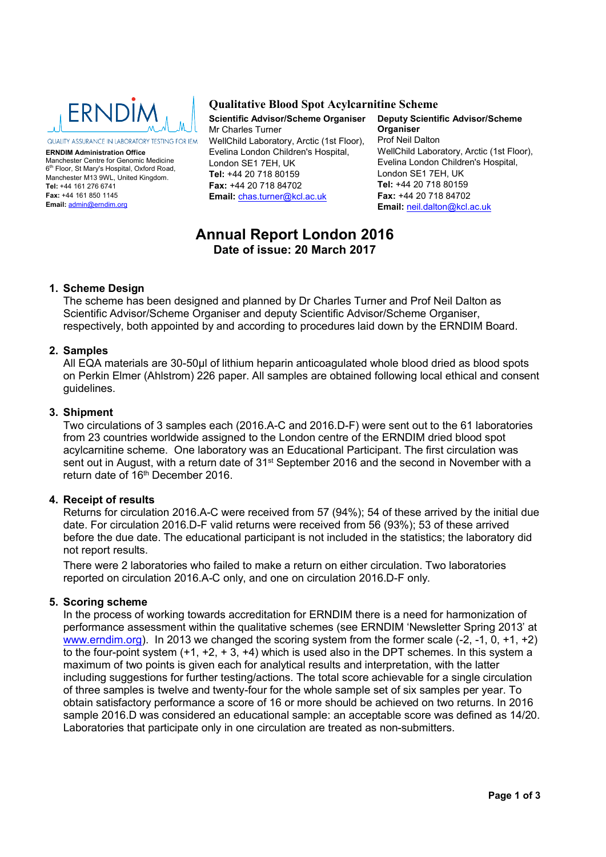

**ERNDIM Administration Office** Manchester Centre for Genomic Medicine 6th Floor, St Mary's Hospital, Oxford Road, Manchester M13 9WL, United Kingdom. **Tel:** +44 161 276 6741 **Fax:** +44 161 850 1145 **Email:** admin@erndim.org

## **Qualitative Blood Spot Acylcarnitine Scheme**

**Scientific Advisor/Scheme Organiser** Mr Charles Turner WellChild Laboratory, Arctic (1st Floor), Evelina London Children's Hospital, London SE1 7EH, UK **Tel:** +44 20 718 80159 **Fax:** +44 20 718 84702 **Email:** chas.turner@kcl.ac.uk

**Deputy Scientific Advisor/Scheme Organiser** Prof Neil Dalton WellChild Laboratory, Arctic (1st Floor), Evelina London Children's Hospital, London SE1 7EH, UK **Tel:** +44 20 718 80159 **Fax:** +44 20 718 84702 **Email:** neil.dalton@kcl.ac.uk

# **Annual Report London 2016 Date of issue: 20 March 2017**

## **1. Scheme Design**

The scheme has been designed and planned by Dr Charles Turner and Prof Neil Dalton as Scientific Advisor/Scheme Organiser and deputy Scientific Advisor/Scheme Organiser, respectively, both appointed by and according to procedures laid down by the ERNDIM Board.

## **2. Samples**

All EQA materials are 30-50µl of lithium heparin anticoagulated whole blood dried as blood spots on Perkin Elmer (Ahlstrom) 226 paper. All samples are obtained following local ethical and consent guidelines.

## **3. Shipment**

Two circulations of 3 samples each (2016.A-C and 2016.D-F) were sent out to the 61 laboratories from 23 countries worldwide assigned to the London centre of the ERNDIM dried blood spot acylcarnitine scheme. One laboratory was an Educational Participant. The first circulation was sent out in August, with a return date of 31<sup>st</sup> September 2016 and the second in November with a return date of 16th December 2016.

## **4. Receipt of results**

Returns for circulation 2016.A-C were received from 57 (94%); 54 of these arrived by the initial due date. For circulation 2016.D-F valid returns were received from 56 (93%); 53 of these arrived before the due date. The educational participant is not included in the statistics; the laboratory did not report results.

There were 2 laboratories who failed to make a return on either circulation. Two laboratories reported on circulation 2016.A-C only, and one on circulation 2016.D-F only.

### **5. Scoring scheme**

In the process of working towards accreditation for ERNDIM there is a need for harmonization of performance assessment within the qualitative schemes (see ERNDIM 'Newsletter Spring 2013' at www.erndim.org). In 2013 we changed the scoring system from the former scale (-2, -1, 0, +1, +2) to the four-point system  $(+1, +2, +3, +4)$  which is used also in the DPT schemes. In this system a maximum of two points is given each for analytical results and interpretation, with the latter including suggestions for further testing/actions. The total score achievable for a single circulation of three samples is twelve and twenty-four for the whole sample set of six samples per year. To obtain satisfactory performance a score of 16 or more should be achieved on two returns. In 2016 sample 2016.D was considered an educational sample: an acceptable score was defined as 14/20. Laboratories that participate only in one circulation are treated as non-submitters.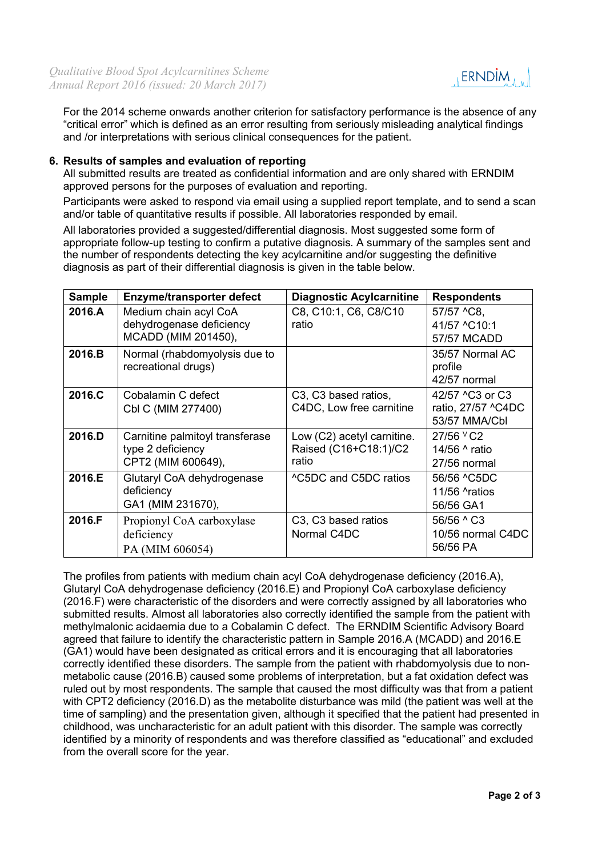

For the 2014 scheme onwards another criterion for satisfactory performance is the absence of any "critical error" which is defined as an error resulting from seriously misleading analytical findings and /or interpretations with serious clinical consequences for the patient.

## **6. Results of samples and evaluation of reporting**

All submitted results are treated as confidential information and are only shared with ERNDIM approved persons for the purposes of evaluation and reporting.

Participants were asked to respond via email using a supplied report template, and to send a scan and/or table of quantitative results if possible. All laboratories responded by email.

All laboratories provided a suggested/differential diagnosis. Most suggested some form of appropriate follow-up testing to confirm a putative diagnosis. A summary of the samples sent and the number of respondents detecting the key acylcarnitine and/or suggesting the definitive diagnosis as part of their differential diagnosis is given in the table below.

| <b>Sample</b> | <b>Enzyme/transporter defect</b>                                           | <b>Diagnostic Acylcarnitine</b>                                           | <b>Respondents</b>                                                 |
|---------------|----------------------------------------------------------------------------|---------------------------------------------------------------------------|--------------------------------------------------------------------|
| 2016.A        | Medium chain acyl CoA<br>dehydrogenase deficiency<br>MCADD (MIM 201450),   | C8, C10:1, C6, C8/C10<br>ratio                                            | 57/57 ^C8,<br>41/57 ^C10:1<br>57/57 MCADD                          |
| 2016.B        | Normal (rhabdomyolysis due to<br>recreational drugs)                       |                                                                           | 35/57 Normal AC<br>profile<br>42/57 normal                         |
| 2016.C        | Cobalamin C defect<br>Cbl C (MIM 277400)                                   | C <sub>3</sub> , C <sub>3</sub> based ratios,<br>C4DC, Low free carnitine | 42/57 ^C3 or C3<br>ratio, 27/57 ^C4DC<br>53/57 MMA/Cbl             |
| 2016.D        | Carnitine palmitoyl transferase<br>type 2 deficiency<br>CPT2 (MIM 600649), | Low (C2) acetyl carnitine.<br>Raised (C16+C18:1)/C2<br>ratio              | 27/56 <sup>v</sup> C <sub>2</sub><br>14/56 ^ ratio<br>27/56 normal |
| 2016.E        | Glutaryl CoA dehydrogenase<br>deficiency<br>GA1 (MIM 231670),              | ^C5DC and C5DC ratios                                                     | 56/56 ^C5DC<br>11/56 <b>Aratios</b><br>56/56 GA1                   |
| 2016.F        | Propionyl CoA carboxylase<br>deficiency<br>PA (MIM 606054)                 | C <sub>3</sub> , C <sub>3</sub> based ratios<br>Normal C4DC               | 56/56 ^ C3<br>10/56 normal C4DC<br>56/56 PA                        |

The profiles from patients with medium chain acyl CoA dehydrogenase deficiency (2016.A), Glutaryl CoA dehydrogenase deficiency (2016.E) and Propionyl CoA carboxylase deficiency (2016.F) were characteristic of the disorders and were correctly assigned by all laboratories who submitted results. Almost all laboratories also correctly identified the sample from the patient with methylmalonic acidaemia due to a Cobalamin C defect. The ERNDIM Scientific Advisory Board agreed that failure to identify the characteristic pattern in Sample 2016.A (MCADD) and 2016.E (GA1) would have been designated as critical errors and it is encouraging that all laboratories correctly identified these disorders. The sample from the patient with rhabdomyolysis due to nonmetabolic cause (2016.B) caused some problems of interpretation, but a fat oxidation defect was ruled out by most respondents. The sample that caused the most difficulty was that from a patient with CPT2 deficiency (2016.D) as the metabolite disturbance was mild (the patient was well at the time of sampling) and the presentation given, although it specified that the patient had presented in childhood, was uncharacteristic for an adult patient with this disorder. The sample was correctly identified by a minority of respondents and was therefore classified as "educational" and excluded from the overall score for the year.